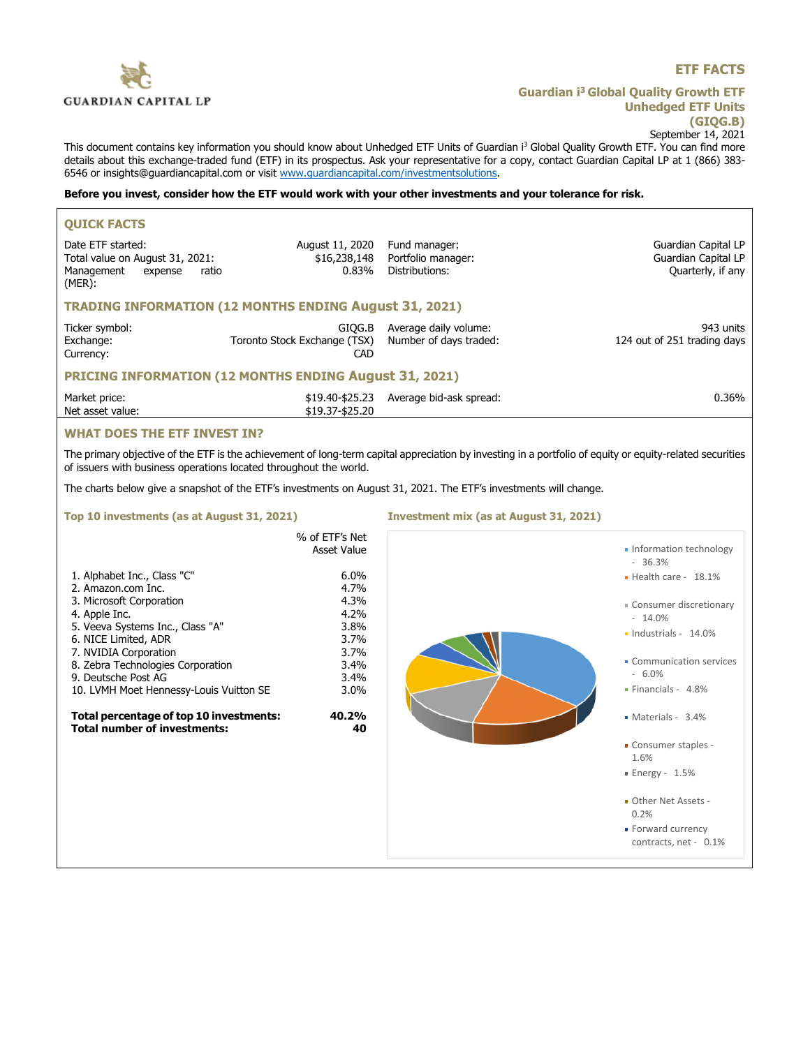

# **ETF FACTS**

**Guardian i<sup>3</sup>Global Quality Growth ETF Unhedged ETF Units (GIQG.B)** September 14, 2021

This document contains key information you should know about Unhedged ETF Units of Guardian i<sup>3</sup> Global Quality Growth ETF. You can find more details about this exchange-traded fund (ETF) in its prospectus. Ask your representative for a copy, contact Guardian Capital LP at 1 (866) 383-6546 or insights@guardiancapital.com or visit www.guardiancapital.com/investmentsolutions.

### **Before you invest, consider how the ETF would work with your other investments and your tolerance for risk.**

| <b>QUICK FACTS</b>                                                                                                                                                                              |                                               |                                                                                                                  |                                                                 |  |
|-------------------------------------------------------------------------------------------------------------------------------------------------------------------------------------------------|-----------------------------------------------|------------------------------------------------------------------------------------------------------------------|-----------------------------------------------------------------|--|
| Date ETF started:<br>Total value on August 31, 2021:<br>Management<br>expense<br>ratio<br>$(MER)$ :                                                                                             | August 11, 2020<br>\$16,238,148<br>0.83%      | Fund manager:<br>Portfolio manager:<br>Distributions:                                                            | Guardian Capital LP<br>Guardian Capital LP<br>Quarterly, if any |  |
| <b>TRADING INFORMATION (12 MONTHS ENDING August 31, 2021)</b>                                                                                                                                   |                                               |                                                                                                                  |                                                                 |  |
| Ticker symbol:<br>Exchange:<br>Currency:                                                                                                                                                        | GIOG.B<br>Toronto Stock Exchange (TSX)<br>CAD | Average daily volume:<br>Number of days traded:                                                                  | 943 units<br>124 out of 251 trading days                        |  |
| <b>PRICING INFORMATION (12 MONTHS ENDING August 31, 2021)</b>                                                                                                                                   |                                               |                                                                                                                  |                                                                 |  |
| Market price:<br>Net asset value:                                                                                                                                                               | \$19.37-\$25.20                               | \$19.40-\$25.23 Average bid-ask spread:                                                                          | 0.36%                                                           |  |
| <b>WHAT DOES THE ETF INVEST IN?</b><br>The primary objective of the ETF is the achievement of long-term capital appreciation by investing in a portfolio of equity or equity-related securities |                                               |                                                                                                                  |                                                                 |  |
| of issuers with business operations located throughout the world.                                                                                                                               |                                               |                                                                                                                  |                                                                 |  |
|                                                                                                                                                                                                 |                                               |                                                                                                                  |                                                                 |  |
|                                                                                                                                                                                                 |                                               | The charts below give a snapshot of the ETF's investments on August 31, 2021. The ETF's investments will change. |                                                                 |  |
| Top 10 investments (as at August 31, 2021)                                                                                                                                                      |                                               | Investment mix (as at August 31, 2021)                                                                           |                                                                 |  |
|                                                                                                                                                                                                 | % of ETF's Net<br>Asset Value                 |                                                                                                                  | · Information technology<br>$-36.3%$                            |  |
| 1. Alphabet Inc., Class "C"<br>2. Amazon.com Inc.                                                                                                                                               | 6.0%<br>4.7%                                  |                                                                                                                  | $\blacksquare$ Health care - 18.1%                              |  |
| 3. Microsoft Corporation<br>4. Apple Inc.                                                                                                                                                       | 4.3%<br>4.2%                                  |                                                                                                                  | " Consumer discretionary<br>$-14.0\%$                           |  |
| 5. Veeva Systems Inc., Class "A"<br>6. NICE Limited, ADR                                                                                                                                        | 3.8%<br>3.7%                                  |                                                                                                                  | $\blacksquare$ Industrials - 14.0%                              |  |
| 7. NVIDIA Corporation<br>8. Zebra Technologies Corporation<br>9. Deutsche Post AG                                                                                                               | 3.7%<br>3.4%<br>3.4%                          |                                                                                                                  | • Communication services<br>$-6.0%$                             |  |

**Total percentage of top 10 investments: 40.2% Total number of investments: 40**



- Other Net Assets 0.2%
- **Forward currency** contracts, net - 0.1%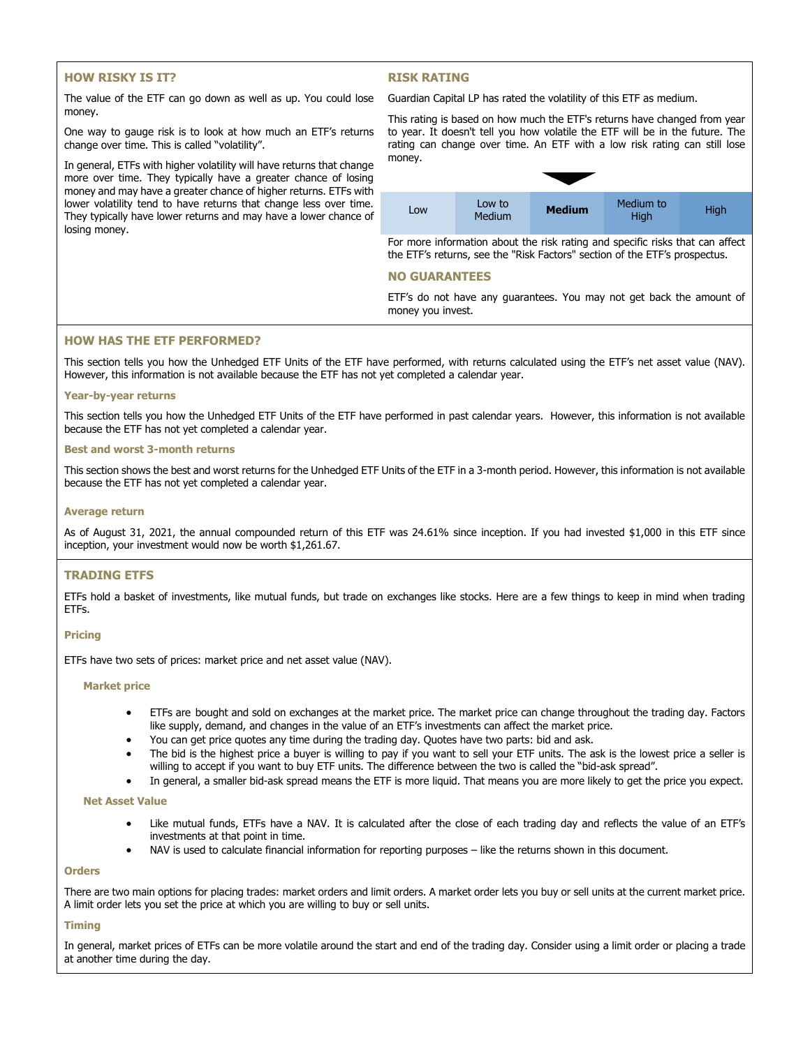# **HOW RISKY IS IT?**

### **RISK RATING**

The value of the ETF can go down as well as up. You could lose money.

One way to gauge risk is to look at how much an ETF's returns change over time. This is called "volatility".

In general, ETFs with higher volatility will have returns that change more over time. They typically have a greater chance of losing money and may have a greater chance of higher returns. ETFs with lower volatility tend to have returns that change less over time. They typically have lower returns and may have a lower chance of losing money.

Guardian Capital LP has rated the volatility of this ETF as medium.



For more information about the risk rating and specific risks that can affect the ETF's returns, see the "Risk Factors" section of the ETF's prospectus.

## **NO GUARANTEES**

ETF's do not have any guarantees. You may not get back the amount of money you invest.

### **HOW HAS THE ETF PERFORMED?**

This section tells you how the Unhedged ETF Units of the ETF have performed, with returns calculated using the ETF's net asset value (NAV). However, this information is not available because the ETF has not yet completed a calendar year.

#### **Year-by-year returns**

This section tells you how the Unhedged ETF Units of the ETF have performed in past calendar years. However, this information is not available because the ETF has not yet completed a calendar year.

### **Best and worst 3-month returns**

This section shows the best and worst returns for the Unhedged ETF Units of the ETF in a 3-month period. However, this information is not available because the ETF has not yet completed a calendar year.

#### **Average return**

As of August 31, 2021, the annual compounded return of this ETF was 24.61% since inception. If you had invested \$1,000 in this ETF since inception, your investment would now be worth \$1,261.67.

### **TRADING ETFS**

ETFs hold a basket of investments, like mutual funds, but trade on exchanges like stocks. Here are a few things to keep in mind when trading ETFs.

### **Pricing**

ETFs have two sets of prices: market price and net asset value (NAV).

#### **Market price**

- ETFs are bought and sold on exchanges at the market price. The market price can change throughout the trading day. Factors like supply, demand, and changes in the value of an ETF's investments can affect the market price.
- You can get price quotes any time during the trading day. Quotes have two parts: bid and ask.
- The bid is the highest price a buyer is willing to pay if you want to sell your ETF units. The ask is the lowest price a seller is willing to accept if you want to buy ETF units. The difference between the two is called the "bid-ask spread".
- In general, a smaller bid-ask spread means the ETF is more liquid. That means you are more likely to get the price you expect.

#### **Net Asset Value**

- Like mutual funds, ETFs have a NAV. It is calculated after the close of each trading day and reflects the value of an ETF's investments at that point in time.
- NAV is used to calculate financial information for reporting purposes like the returns shown in this document.

#### **Orders**

There are two main options for placing trades: market orders and limit orders. A market order lets you buy or sell units at the current market price. A limit order lets you set the price at which you are willing to buy or sell units.

#### **Timing**

In general, market prices of ETFs can be more volatile around the start and end of the trading day. Consider using a limit order or placing a trade at another time during the day.